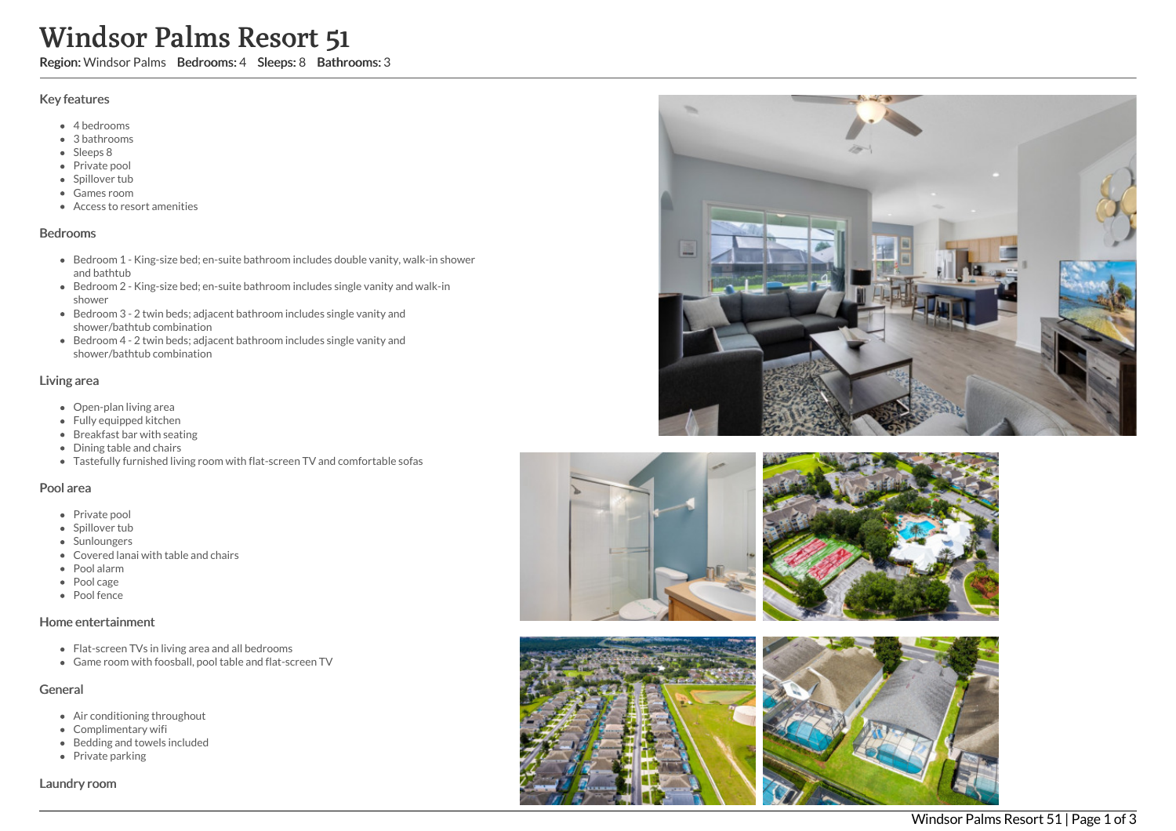# Windsor Palms Resort 51

Region: Windsor Palms Bedrooms: 4 Sleeps: 8 Bathrooms: 3

#### Key features

- 4 bedrooms
- 3 bathrooms
- Sleeps 8
- Private pool
- Spillover tub
- Games room
- Access to resort amenities

## Bedrooms

- Bedroom 1 King-size bed; en-suite bathroom includes double vanity, walk-in shower and bathtub
- Bedroom 2 King-size bed; en-suite bathroom includes single vanity and walk-in shower
- Bedroom 3 2 twin beds; adjacent bathroom includes single vanity and shower/bathtub combination
- Bedroom 4 2 twin beds; adjacent bathroom includes single vanity and shower/bathtub combination

## Living area

- Open-plan living area
- Fully equipped kitchen
- Breakfast bar with seating
- Dining table and chairs
- Tastefully furnished living room with flat-screen TV and comfortable sofas

## Pool area

- Private pool
- Spillover tub
- Sunloungers
- Covered lanai with table and chairs
- Pool alarm
- Pool cage
- Pool fence

## Home entertainment

- Flat-screen TVs in living area and all bedrooms
- Game room with foosball, pool table and flat-screen TV

## General

- Air conditioning throughout
- Complimentary wifi
- Bedding and towels included
- $\bullet$  Private parking

Laundry room









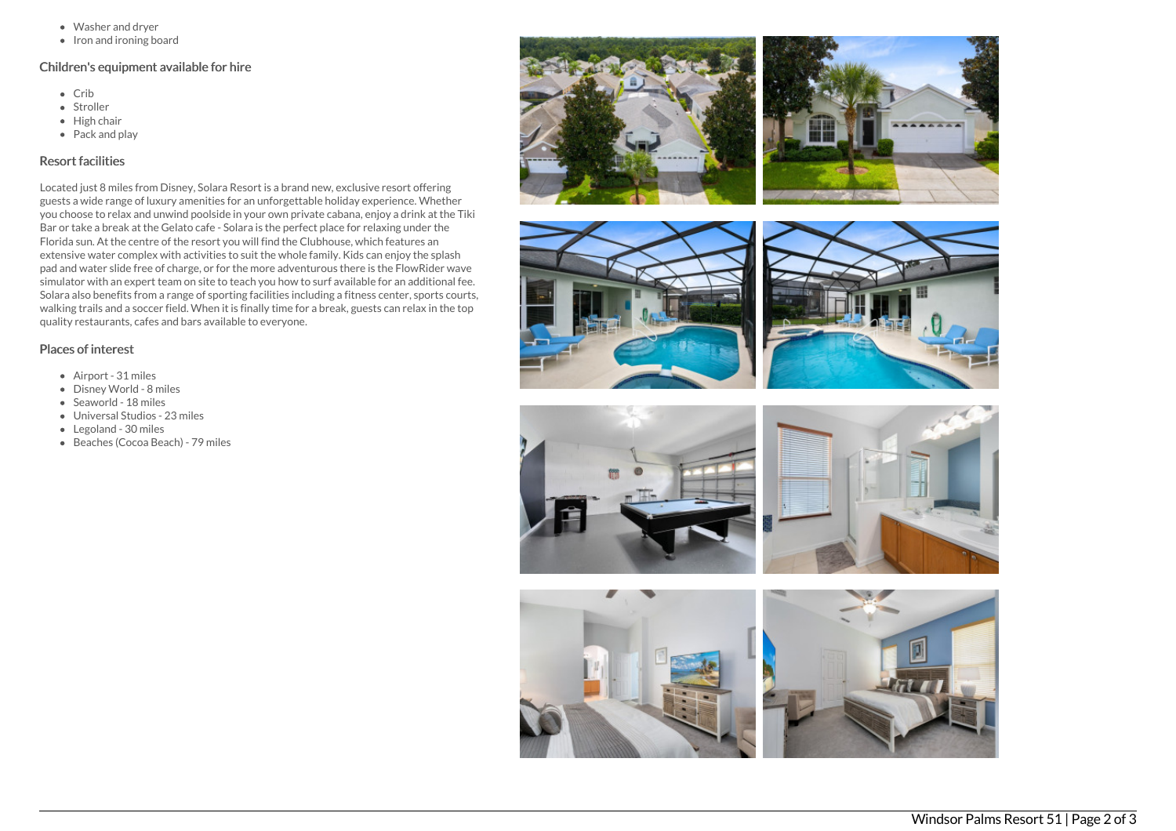- Washer and dryer
- Iron and ironing board

## Children's equipment available for hire

- Crib
- Stroller
- $\bullet$  High chair
- Pack and play

# Resort facilities

Located just 8 miles from Disney, Solara Resort is a brand new, exclusive resort offering guests a wide range of luxury amenities for an unforgettable holiday experience. Whether you choose to relax and unwind poolside in your own private cabana, enjoy a drink at the Tiki Bar or take a break at the Gelato cafe - Solara is the perfect place for relaxing under the Florida sun. At the centre of the resort you will find the Clubhouse, which features an extensive water complex with activities to suit the whole family. Kids can enjoy the splash pad and water slide free of charge, or for the more adventurous there is the FlowRider wave simulator with an expert team on site to teach you how to surf available for an additional fee. Solara also benefits from a range of sporting facilities including a fitness center, sports courts, walking trails and a soccer field. When it is finally time for a break, guests can relax in the top quality restaurants, cafes and bars available to everyone.

# Places of interest

- Airport 31 miles
- Disney World 8 miles
- Seaworld 18 miles
- Universal Studios 23 miles
- Legoland 30 miles
- Beaches (Cocoa Beach) 79 miles